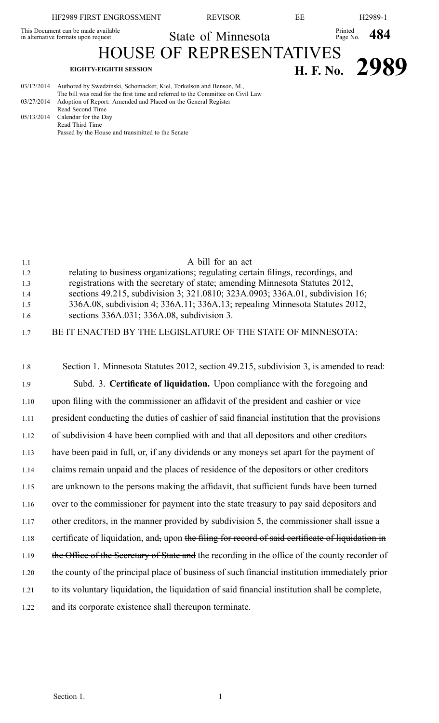This Document can be made available

Page No. **484**

Printed

in alternative formats upon request State of Minnesota

HOUSE OF REPRESENTATIVES

# **EIGHTY-EIGHTH SESSION H. F. No. 2989**

|  | 03/12/2014 Authored by Swedzinski, Schomacker, Kiel, Torkelson and Benson, M.,  |
|--|---------------------------------------------------------------------------------|
|  | The bill was read for the first time and referred to the Committee on Civil Law |
|  | $03/27/2014$ Adoption of Report: Amended and Placed on the General Register     |
|  | Read Second Time                                                                |
|  | $05/13/2014$ Calendar for the Day                                               |
|  | Read Third Time                                                                 |
|  | Passed by the House and transmitted to the Senate                               |

| $-1.1$ | A bill for an act                                                               |
|--------|---------------------------------------------------------------------------------|
| 1.2    | relating to business organizations; regulating certain filings, recordings, and |
| 1.3    | registrations with the secretary of state; amending Minnesota Statutes 2012,    |
| 1.4    | sections 49.215, subdivision 3; 321.0810; 323A.0903; 336A.01, subdivision 16;   |
| -1.5   | 336A.08, subdivision 4; 336A.11; 336A.13; repealing Minnesota Statutes 2012,    |
| 1.6    | sections 336A.031; 336A.08, subdivision 3.                                      |
| 17     | BE IT ENACTED BY THE LEGISLATURE OF THE STATE OF MINNESOTA:                     |

1.8 Section 1. Minnesota Statutes 2012, section 49.215, subdivision 3, is amended to read: 1.9 Subd. 3. **Certificate of liquidation.** Upon compliance with the foregoing and 1.10 upon filing with the commissioner an affidavit of the president and cashier or vice 1.11 president conducting the duties of cashier of said financial institution that the provisions 1.12 of subdivision 4 have been complied with and that all depositors and other creditors 1.13 have been paid in full, or, if any dividends or any moneys set apar<sup>t</sup> for the paymen<sup>t</sup> of 1.14 claims remain unpaid and the places of residence of the depositors or other creditors 1.15 are unknown to the persons making the affidavit, that sufficient funds have been turned 1.16 over to the commissioner for paymen<sup>t</sup> into the state treasury to pay said depositors and 1.17 other creditors, in the manner provided by subdivision 5, the commissioner shall issue <sup>a</sup> 1.18 certificate of liquidation, and, upon the filing for record of said certificate of liquidation in 1.19 the Office of the Secretary of State and the recording in the office of the county recorder of 1.20 the county of the principal place of business of such financial institution immediately prior 1.21 to its voluntary liquidation, the liquidation of said financial institution shall be complete, 1.22 and its corporate existence shall thereupon terminate.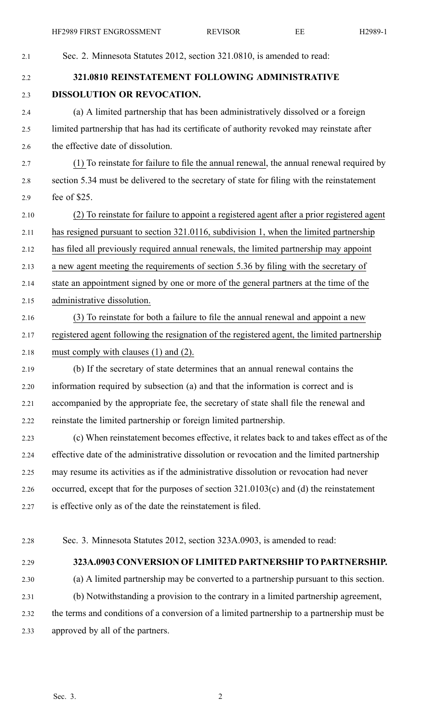| 2.1  | Sec. 2. Minnesota Statutes 2012, section 321.0810, is amended to read:                      |
|------|---------------------------------------------------------------------------------------------|
| 2.2  | 321.0810 REINSTATEMENT FOLLOWING ADMINISTRATIVE                                             |
| 2.3  | DISSOLUTION OR REVOCATION.                                                                  |
| 2.4  | (a) A limited partnership that has been administratively dissolved or a foreign             |
| 2.5  | limited partnership that has had its certificate of authority revoked may reinstate after   |
| 2.6  | the effective date of dissolution.                                                          |
| 2.7  | (1) To reinstate for failure to file the annual renewal, the annual renewal required by     |
| 2.8  | section 5.34 must be delivered to the secretary of state for filing with the reinstatement  |
| 2.9  | fee of \$25.                                                                                |
| 2.10 | (2) To reinstate for failure to appoint a registered agent after a prior registered agent   |
| 2.11 | has resigned pursuant to section 321.0116, subdivision 1, when the limited partnership      |
| 2.12 | has filed all previously required annual renewals, the limited partnership may appoint      |
| 2.13 | a new agent meeting the requirements of section 5.36 by filing with the secretary of        |
| 2.14 | state an appointment signed by one or more of the general partners at the time of the       |
| 2.15 | administrative dissolution.                                                                 |
| 2.16 | (3) To reinstate for both a failure to file the annual renewal and appoint a new            |
| 2.17 | registered agent following the resignation of the registered agent, the limited partnership |
| 2.18 | must comply with clauses $(1)$ and $(2)$ .                                                  |
| 2.19 | (b) If the secretary of state determines that an annual renewal contains the                |
| 2.20 | information required by subsection (a) and that the information is correct and is           |
| 2.21 | accompanied by the appropriate fee, the secretary of state shall file the renewal and       |
| 2.22 | reinstate the limited partnership or foreign limited partnership.                           |
| 2.23 | (c) When reinstatement becomes effective, it relates back to and takes effect as of the     |
| 2.24 | effective date of the administrative dissolution or revocation and the limited partnership  |
| 2.25 | may resume its activities as if the administrative dissolution or revocation had never      |
| 2.26 | occurred, except that for the purposes of section $321.0103(c)$ and (d) the reinstatement   |
| 2.27 | is effective only as of the date the reinstatement is filed.                                |
|      |                                                                                             |
| 2.28 | Sec. 3. Minnesota Statutes 2012, section 323A.0903, is amended to read:                     |
| 2.29 | 323A.0903 CONVERSION OF LIMITED PARTNERSHIP TO PARTNERSHIP.                                 |
| 2.30 | (a) A limited partnership may be converted to a partnership pursuant to this section.       |
| 2.31 | (b) Notwithstanding a provision to the contrary in a limited partnership agreement,         |
| 2.32 | the terms and conditions of a conversion of a limited partnership to a partnership must be  |
| 2.33 | approved by all of the partners.                                                            |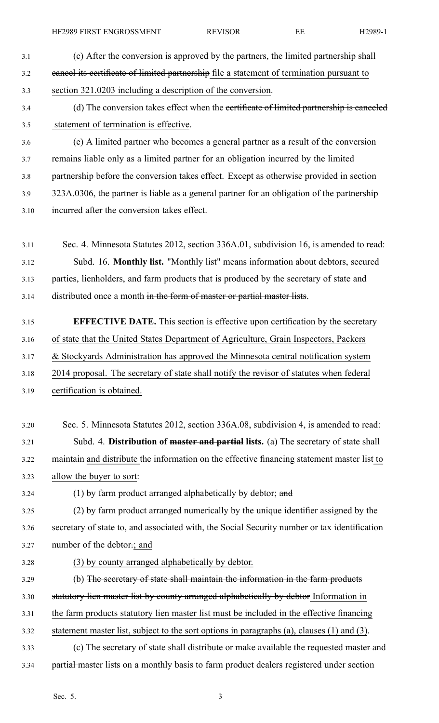- 3.1 (c) After the conversion is approved by the partners, the limited partnership shall 3.2 cancel its certificate of limited partnership file <sup>a</sup> statement of termination pursuan<sup>t</sup> to 3.3 section 321.0203 including <sup>a</sup> description of the conversion.
- 3.4 (d) The conversion takes effect when the certificate of limited partnership is canceled 3.5 statement of termination is effective.
- 3.6 (e) A limited partner who becomes <sup>a</sup> general partner as <sup>a</sup> result of the conversion 3.7 remains liable only as <sup>a</sup> limited partner for an obligation incurred by the limited 3.8 partnership before the conversion takes effect. Except as otherwise provided in section 3.9 323A.0306, the partner is liable as <sup>a</sup> general partner for an obligation of the partnership 3.10 incurred after the conversion takes effect.
- 3.11 Sec. 4. Minnesota Statutes 2012, section 336A.01, subdivision 16, is amended to read: 3.12 Subd. 16. **Monthly list.** "Monthly list" means information about debtors, secured 3.13 parties, lienholders, and farm products that is produced by the secretary of state and 3.14 distributed once <sup>a</sup> month in the form of master or partial master lists.
- 3.15 **EFFECTIVE DATE.** This section is effective upon certification by the secretary 3.16 of state that the United States Department of Agriculture, Grain Inspectors, Packers 3.17 & Stockyards Administration has approved the Minnesota central notification system 3.18 2014 proposal. The secretary of state shall notify the revisor of statutes when federal
- 3.19 certification is obtained.
- 3.20 Sec. 5. Minnesota Statutes 2012, section 336A.08, subdivision 4, is amended to read: 3.21 Subd. 4. **Distribution of master and partial lists.** (a) The secretary of state shall 3.22 maintain and distribute the information on the effective financing statement master list to 3.23 allow the buyer to sort:
- 3.24 (1) by farm product arranged alphabetically by debtor; and
- 3.25 (2) by farm product arranged numerically by the unique identifier assigned by the 3.26 secretary of state to, and associated with, the Social Security number or tax identification 3.27 number of the debtor.; and
- 3.28 (3) by county arranged alphabetically by debtor.
- 3.29 (b) The secretary of state shall maintain the information in the farm products
- 3.30 statutory lien master list by county arranged alphabetically by debtor Information in
- 3.31 the farm products statutory lien master list must be included in the effective financing
- 3.32 statement master list, subject to the sort options in paragraphs (a), clauses (1) and (3).
- 3.33 (c) The secretary of state shall distribute or make available the requested master and 3.34 partial master lists on a monthly basis to farm product dealers registered under section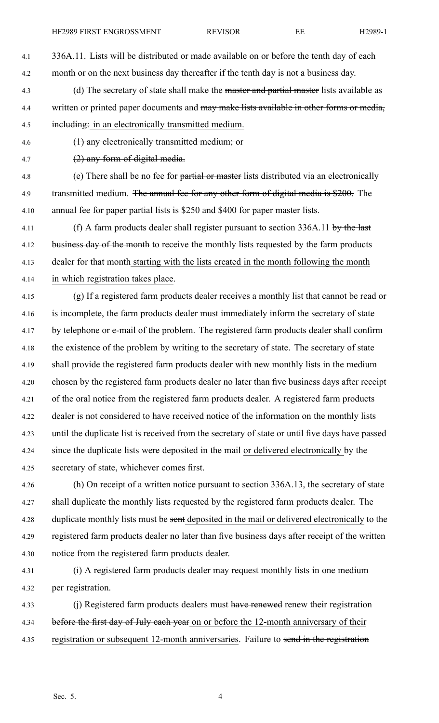- 4.1 336A.11. Lists will be distributed or made available on or before the tenth day of each 4.2 month or on the next business day thereafter if the tenth day is not <sup>a</sup> business day.
- 4.3 (d) The secretary of state shall make the master and partial master lists available as 4.4 written or printed paper documents and may make lists available in other forms or media, 4.5 including: in an electronically transmitted medium.
- 

4.6 (1) any electronically transmitted medium; or

4.7 (2) any form of digital media.

4.8 (e) There shall be no fee for partial or master lists distributed via an electronically 4.9 transmitted medium. The annual fee for any other form of digital media is \$200. The 4.10 annual fee for paper partial lists is \$250 and \$400 for paper master lists.

4.11 (f) A farm products dealer shall register pursuant to section 336A.11 by the last 4.12 business day of the month to receive the monthly lists requested by the farm products 4.13 dealer for that month starting with the lists created in the month following the month 4.14 in which registration takes place.

4.15 (g) If <sup>a</sup> registered farm products dealer receives <sup>a</sup> monthly list that cannot be read or 4.16 is incomplete, the farm products dealer must immediately inform the secretary of state 4.17 by telephone or e-mail of the problem. The registered farm products dealer shall confirm 4.18 the existence of the problem by writing to the secretary of state. The secretary of state 4.19 shall provide the registered farm products dealer with new monthly lists in the medium 4.20 chosen by the registered farm products dealer no later than five business days after receipt 4.21 of the oral notice from the registered farm products dealer. A registered farm products 4.22 dealer is not considered to have received notice of the information on the monthly lists 4.23 until the duplicate list is received from the secretary of state or until five days have passed 4.24 since the duplicate lists were deposited in the mail or delivered electronically by the 4.25 secretary of state, whichever comes first.

4.26 (h) On receipt of <sup>a</sup> written notice pursuan<sup>t</sup> to section 336A.13, the secretary of state 4.27 shall duplicate the monthly lists requested by the registered farm products dealer. The 4.28 duplicate monthly lists must be sent deposited in the mail or delivered electronically to the 4.29 registered farm products dealer no later than five business days after receipt of the written 4.30 notice from the registered farm products dealer.

4.31 (i) A registered farm products dealer may reques<sup>t</sup> monthly lists in one medium 4.32 per registration.

4.33 (j) Registered farm products dealers must have renewed renew their registration 4.34 before the first day of July each year on or before the 12-month anniversary of their 4.35 registration or subsequent 12-month anniversaries. Failure to send in the registration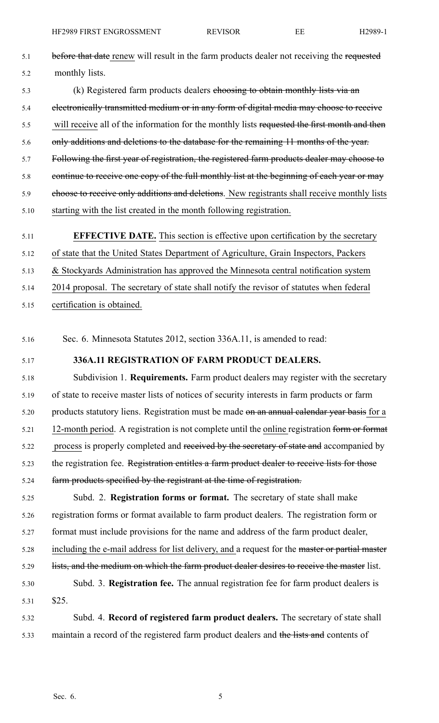- 5.1 before that date renew will result in the farm products dealer not receiving the requested 5.2 monthly lists.
- 5.3 (k) Registered farm products dealers choosing to obtain monthly lists via an 5.4 electronically transmitted medium or in any form of digital media may choose to receive 5.5 will receive all of the information for the monthly lists requested the first month and then 5.6 only additions and deletions to the database for the remaining 11 months of the year. 5.7 Following the first year of registration, the registered farm products dealer may choose to 5.8 continue to receive one copy of the full monthly list at the beginning of each year or may 5.9 choose to receive only additions and deletions. New registrants shall receive monthly lists 5.10 starting with the list created in the month following registration.

### 5.11 **EFFECTIVE DATE.** This section is effective upon certification by the secretary

5.12 of state that the United States Department of Agriculture, Grain Inspectors, Packers

5.13 & Stockyards Administration has approved the Minnesota central notification system

- 5.14 2014 proposal. The secretary of state shall notify the revisor of statutes when federal
- 5.15 certification is obtained.

5.16 Sec. 6. Minnesota Statutes 2012, section 336A.11, is amended to read:

### 5.17 **336A.11 REGISTRATION OF FARM PRODUCT DEALERS.**

5.18 Subdivision 1. **Requirements.** Farm product dealers may register with the secretary 5.19 of state to receive master lists of notices of security interests in farm products or farm 5.20 products statutory liens. Registration must be made on an annual calendar year basis for a 5.21 12-month period. A registration is not complete until the online registration form or format 5.22 process is properly completed and received by the secretary of state and accompanied by 5.23 the registration fee. Registration entitles a farm product dealer to receive lists for those 5.24 farm products specified by the registrant at the time of registration.

5.25 Subd. 2. **Registration forms or format.** The secretary of state shall make 5.26 registration forms or format available to farm product dealers. The registration form or 5.27 format must include provisions for the name and address of the farm product dealer, 5.28 including the e-mail address for list delivery, and a request for the master or partial master 5.29 lists, and the medium on which the farm product dealer desires to receive the master list. 5.30 Subd. 3. **Registration fee.** The annual registration fee for farm product dealers is 5.31 \$25. 5.32 Subd. 4. **Record of registered farm product dealers.** The secretary of state shall

5.33 maintain a record of the registered farm product dealers and the lists and contents of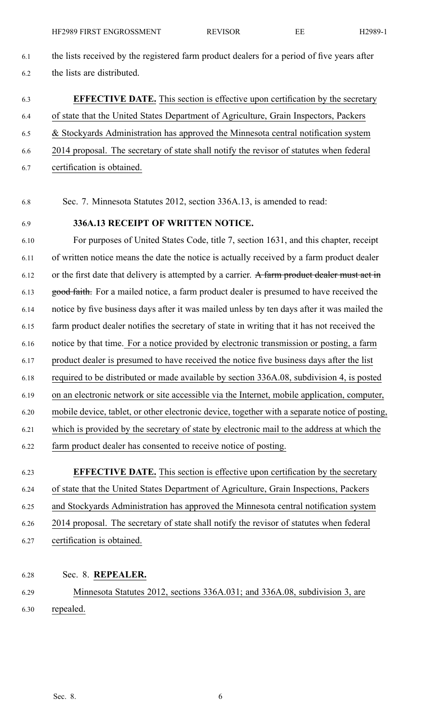6.1 the lists received by the registered farm product dealers for <sup>a</sup> period of five years after 6.2 the lists are distributed.

## 6.3 **EFFECTIVE DATE.** This section is effective upon certification by the secretary

- 6.4 of state that the United States Department of Agriculture, Grain Inspectors, Packers
- 6.5 & Stockyards Administration has approved the Minnesota central notification system
- 6.6 2014 proposal. The secretary of state shall notify the revisor of statutes when federal
- 6.7 certification is obtained.
- 6.8 Sec. 7. Minnesota Statutes 2012, section 336A.13, is amended to read:
- 

## 6.9 **336A.13 RECEIPT OF WRITTEN NOTICE.**

6.10 For purposes of United States Code, title 7, section 1631, and this chapter, receipt 6.11 of written notice means the date the notice is actually received by <sup>a</sup> farm product dealer 6.12 or the first date that delivery is attempted by a carrier. A farm product dealer must act in 6.13 good faith. For <sup>a</sup> mailed notice, <sup>a</sup> farm product dealer is presumed to have received the 6.14 notice by five business days after it was mailed unless by ten days after it was mailed the 6.15 farm product dealer notifies the secretary of state in writing that it has not received the 6.16 notice by that time. For <sup>a</sup> notice provided by electronic transmission or posting, <sup>a</sup> farm 6.17 product dealer is presumed to have received the notice five business days after the list 6.18 required to be distributed or made available by section 336A.08, subdivision 4, is posted 6.19 on an electronic network or site accessible via the Internet, mobile application, computer, 6.20 mobile device, tablet, or other electronic device, together with <sup>a</sup> separate notice of posting, 6.21 which is provided by the secretary of state by electronic mail to the address at which the 6.22 farm product dealer has consented to receive notice of posting. 6.23 **EFFECTIVE DATE.** This section is effective upon certification by the secretary

- 6.24 of state that the United States Department of Agriculture, Grain Inspections, Packers
- 6.25 and Stockyards Administration has approved the Minnesota central notification system
- 6.26 2014 proposal. The secretary of state shall notify the revisor of statutes when federal
- 6.27 certification is obtained.
- 6.28 Sec. 8. **REPEALER.**
- 6.29 Minnesota Statutes 2012, sections 336A.031; and 336A.08, subdivision 3, are 6.30 repealed.